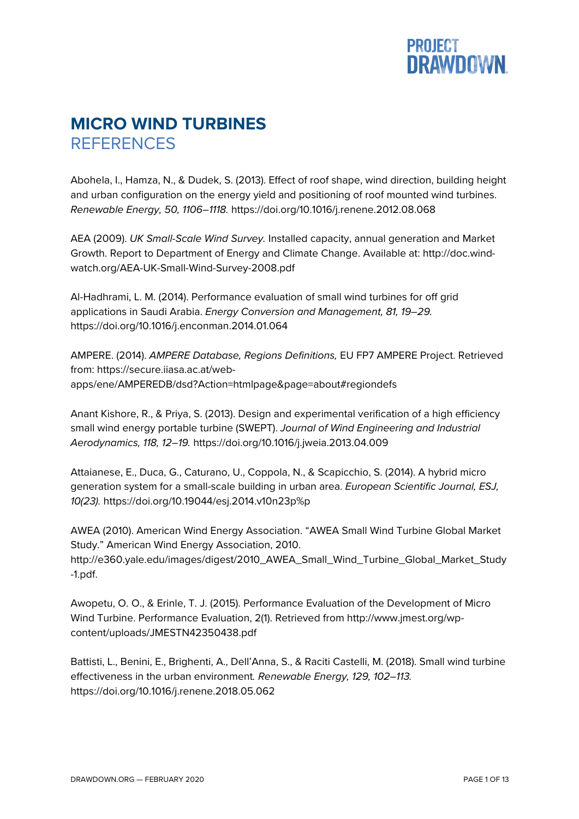

## **MICRO WIND TURBINES REFERENCES**

Abohela, I., Hamza, N., & Dudek, S. (2013). Effect of roof shape, wind direction, building height and urban configuration on the energy yield and positioning of roof mounted wind turbines. *Renewable Energy, 50, 1106–1118.* https://doi.org/10.1016/j.renene.2012.08.068

AEA (2009). *UK Small-Scale Wind Survey.* Installed capacity, annual generation and Market Growth. Report to Department of Energy and Climate Change. Available at: http://doc.windwatch.org/AEA-UK-Small-Wind-Survey-2008.pdf

Al-Hadhrami, L. M. (2014). Performance evaluation of small wind turbines for off grid applications in Saudi Arabia. *Energy Conversion and Management, 81, 19–29.* https://doi.org/10.1016/j.enconman.2014.01.064

AMPERE. (2014). *AMPERE Database, Regions Definitions,* EU FP7 AMPERE Project. Retrieved from: https://secure.iiasa.ac.at/webapps/ene/AMPEREDB/dsd?Action=htmlpage&page=about#regiondefs

Anant Kishore, R., & Priya, S. (2013). Design and experimental verification of a high efficiency small wind energy portable turbine (SWEPT). *Journal of Wind Engineering and Industrial Aerodynamics, 118, 12–19.* https://doi.org/10.1016/j.jweia.2013.04.009

Attaianese, E., Duca, G., Caturano, U., Coppola, N., & Scapicchio, S. (2014). A hybrid micro generation system for a small-scale building in urban area. *European Scientific Journal, ESJ, 10(23).* https://doi.org/10.19044/esj.2014.v10n23p%p

AWEA (2010). American Wind Energy Association. "AWEA Small Wind Turbine Global Market Study." American Wind Energy Association, 2010. http://e360.yale.edu/images/digest/2010\_AWEA\_Small\_Wind\_Turbine\_Global\_Market\_Study -1.pdf.

Awopetu, O. O., & Erinle, T. J. (2015). Performance Evaluation of the Development of Micro Wind Turbine. Performance Evaluation, 2(1). Retrieved from http://www.jmest.org/wpcontent/uploads/JMESTN42350438.pdf

Battisti, L., Benini, E., Brighenti, A., Dell'Anna, S., & Raciti Castelli, M. (2018). Small wind turbine effectiveness in the urban environment*. Renewable Energy, 129, 102–113.*  https://doi.org/10.1016/j.renene.2018.05.062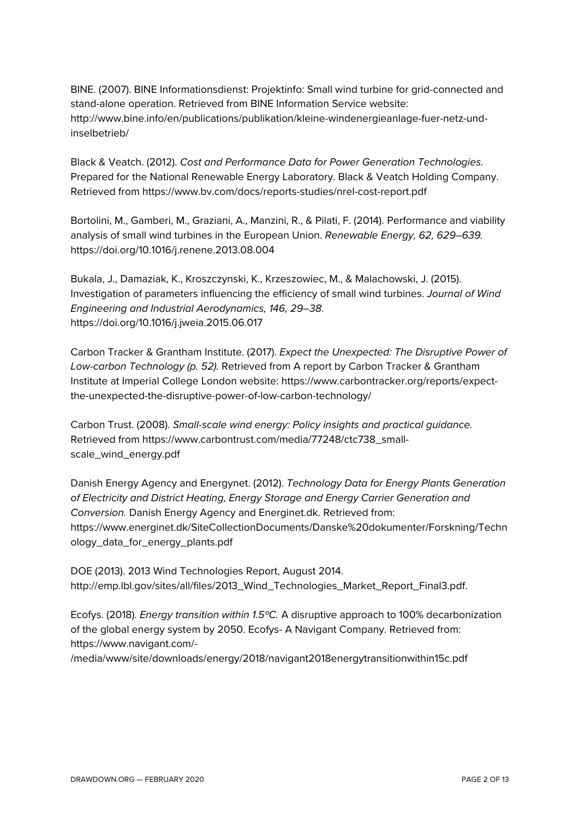BINE. (2007). BINE Informationsdienst: Projektinfo: Small wind turbine for grid-connected and stand-alone operation. Retrieved from BINE Information Service website: http://www.bine.info/en/publications/publikation/kleine-windenergieanlage-fuer-netz-undinselbetrieb/

Black & Veatch. (2012). *Cost and Performance Data for Power Generation Technologies.* Prepared for the National Renewable Energy Laboratory. Black & Veatch Holding Company. Retrieved from https://www.bv.com/docs/reports-studies/nrel-cost-report.pdf

Bortolini, M., Gamberi, M., Graziani, A., Manzini, R., & Pilati, F. (2014). Performance and viability analysis of small wind turbines in the European Union. *Renewable Energy, 62, 629–639.*  https://doi.org/10.1016/j.renene.2013.08.004

Bukala, J., Damaziak, K., Kroszczynski, K., Krzeszowiec, M., & Malachowski, J. (2015). Investigation of parameters influencing the efficiency of small wind turbines. *Journal of Wind Engineering and Industrial Aerodynamics, 146, 29–38*. https://doi.org/10.1016/j.jweia.2015.06.017

Carbon Tracker & Grantham Institute. (2017). *Expect the Unexpected: The Disruptive Power of Low-carbon Technology (p. 52).* Retrieved from A report by Carbon Tracker & Grantham Institute at Imperial College London website: https://www.carbontracker.org/reports/expectthe-unexpected-the-disruptive-power-of-low-carbon-technology/

Carbon Trust. (2008). *Small-scale wind energy: Policy insights and practical guidance.* Retrieved from https://www.carbontrust.com/media/77248/ctc738\_smallscale\_wind\_energy.pdf

Danish Energy Agency and Energynet. (2012). *Technology Data for Energy Plants Generation of Electricity and District Heating, Energy Storage and Energy Carrier Generation and Conversion.* Danish Energy Agency and Energinet.dk. Retrieved from: https://www.energinet.dk/SiteCollectionDocuments/Danske%20dokumenter/Forskning/Techn ology\_data\_for\_energy\_plants.pdf

DOE (2013). 2013 Wind Technologies Report, August 2014. http://emp.lbl.gov/sites/all/files/2013\_Wind\_Technologies\_Market\_Report\_Final3.pdf.

Ecofys. (2018). *Energy transition within 1.5ºC.* A disruptive approach to 100% decarbonization of the global energy system by 2050. Ecofys- A Navigant Company. Retrieved from: https://www.navigant.com/-

/media/www/site/downloads/energy/2018/navigant2018energytransitionwithin15c.pdf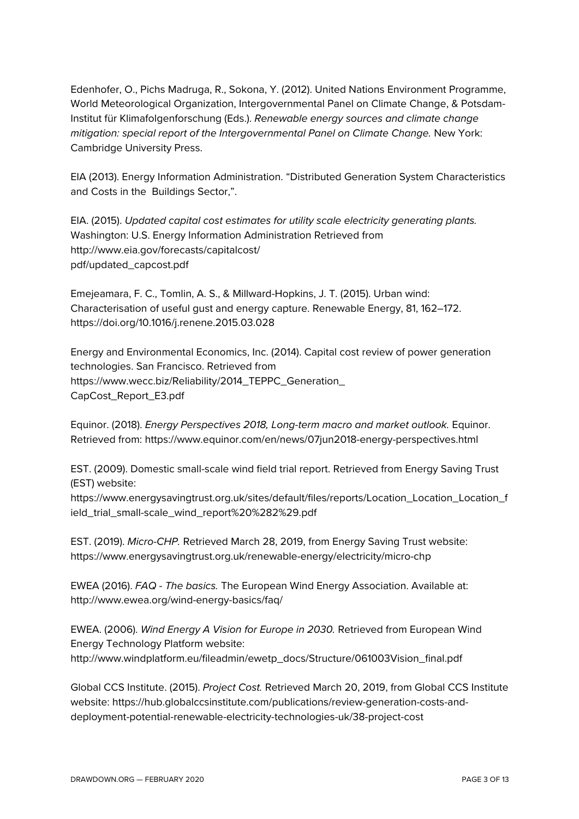Edenhofer, O., Pichs Madruga, R., Sokona, Y. (2012). United Nations Environment Programme, World Meteorological Organization, Intergovernmental Panel on Climate Change, & Potsdam-Institut für Klimafolgenforschung (Eds.). *Renewable energy sources and climate change mitigation: special report of the Intergovernmental Panel on Climate Change.* New York: Cambridge University Press.

EIA (2013). Energy Information Administration. "Distributed Generation System Characteristics and Costs in the Buildings Sector,".

EIA. (2015). *Updated capital cost estimates for utility scale electricity generating plants.* Washington: U.S. Energy Information Administration Retrieved from http://www.eia.gov/forecasts/capitalcost/ pdf/updated\_capcost.pdf

Emejeamara, F. C., Tomlin, A. S., & Millward-Hopkins, J. T. (2015). Urban wind: Characterisation of useful gust and energy capture. Renewable Energy, 81, 162–172. https://doi.org/10.1016/j.renene.2015.03.028

Energy and Environmental Economics, Inc. (2014). Capital cost review of power generation technologies. San Francisco. Retrieved from https://www.wecc.biz/Reliability/2014\_TEPPC\_Generation\_ CapCost\_Report\_E3.pdf

Equinor. (2018). *Energy Perspectives 2018, Long-term macro and market outlook.* Equinor. Retrieved from: https://www.equinor.com/en/news/07jun2018-energy-perspectives.html

EST. (2009). Domestic small-scale wind field trial report. Retrieved from Energy Saving Trust (EST) website:

https://www.energysavingtrust.org.uk/sites/default/files/reports/Location\_Location\_Location\_f ield\_trial\_small-scale\_wind\_report%20%282%29.pdf

EST. (2019). *Micro-CHP.* Retrieved March 28, 2019, from Energy Saving Trust website: https://www.energysavingtrust.org.uk/renewable-energy/electricity/micro-chp

EWEA (2016). *FAQ - The basics.* The European Wind Energy Association. Available at: http://www.ewea.org/wind-energy-basics/faq/

EWEA. (2006). *Wind Energy A Vision for Europe in 2030.* Retrieved from European Wind Energy Technology Platform website: http://www.windplatform.eu/fileadmin/ewetp\_docs/Structure/061003Vision\_final.pdf

Global CCS Institute. (2015). *Project Cost.* Retrieved March 20, 2019, from Global CCS Institute website: https://hub.globalccsinstitute.com/publications/review-generation-costs-anddeployment-potential-renewable-electricity-technologies-uk/38-project-cost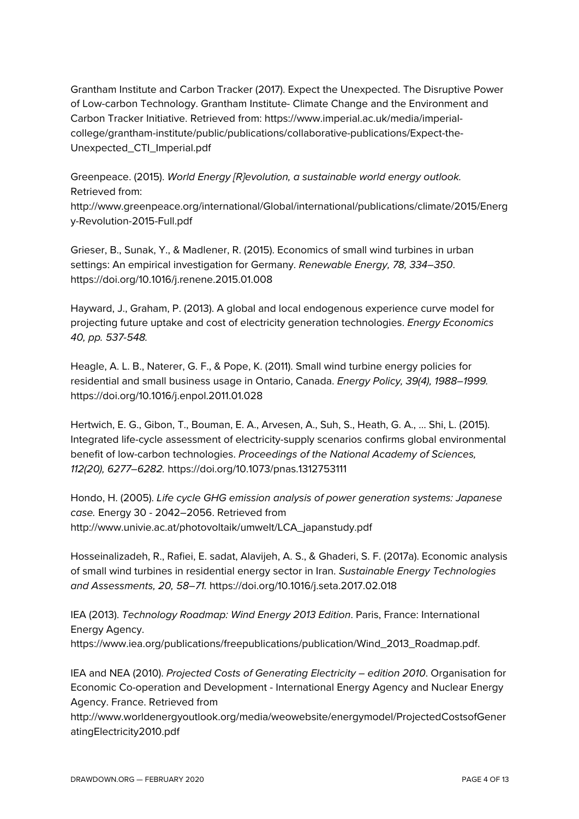Grantham Institute and Carbon Tracker (2017). Expect the Unexpected. The Disruptive Power of Low-carbon Technology. Grantham Institute- Climate Change and the Environment and Carbon Tracker Initiative. Retrieved from: https://www.imperial.ac.uk/media/imperialcollege/grantham-institute/public/publications/collaborative-publications/Expect-the-Unexpected\_CTI\_Imperial.pdf

Greenpeace. (2015). *World Energy [R]evolution, a sustainable world energy outlook.* Retrieved from:

http://www.greenpeace.org/international/Global/international/publications/climate/2015/Energ y-Revolution-2015-Full.pdf

Grieser, B., Sunak, Y., & Madlener, R. (2015). Economics of small wind turbines in urban settings: An empirical investigation for Germany. *Renewable Energy, 78, 334–350*. https://doi.org/10.1016/j.renene.2015.01.008

Hayward, J., Graham, P. (2013). A global and local endogenous experience curve model for projecting future uptake and cost of electricity generation technologies. *Energy Economics 40, pp. 537-548.*

Heagle, A. L. B., Naterer, G. F., & Pope, K. (2011). Small wind turbine energy policies for residential and small business usage in Ontario, Canada. *Energy Policy, 39(4), 1988–1999.* https://doi.org/10.1016/j.enpol.2011.01.028

Hertwich, E. G., Gibon, T., Bouman, E. A., Arvesen, A., Suh, S., Heath, G. A., … Shi, L. (2015). Integrated life-cycle assessment of electricity-supply scenarios confirms global environmental benefit of low-carbon technologies. *Proceedings of the National Academy of Sciences, 112(20), 6277–6282.* https://doi.org/10.1073/pnas.1312753111

Hondo, H. (2005). *Life cycle GHG emission analysis of power generation systems: Japanese case.* Energy 30 - 2042–2056. Retrieved from http://www.univie.ac.at/photovoltaik/umwelt/LCA\_japanstudy.pdf

Hosseinalizadeh, R., Rafiei, E. sadat, Alavijeh, A. S., & Ghaderi, S. F. (2017a). Economic analysis of small wind turbines in residential energy sector in Iran. *Sustainable Energy Technologies and Assessments, 20, 58–71.* https://doi.org/10.1016/j.seta.2017.02.018

IEA (2013). *Technology Roadmap: Wind Energy 2013 Edition*. Paris, France: International Energy Agency. https://www.iea.org/publications/freepublications/publication/Wind\_2013\_Roadmap.pdf.

IEA and NEA (2010). *Projected Costs of Generating Electricity – edition 2010*. Organisation for Economic Co-operation and Development - International Energy Agency and Nuclear Energy Agency. France. Retrieved from

http://www.worldenergyoutlook.org/media/weowebsite/energymodel/ProjectedCostsofGener atingElectricity2010.pdf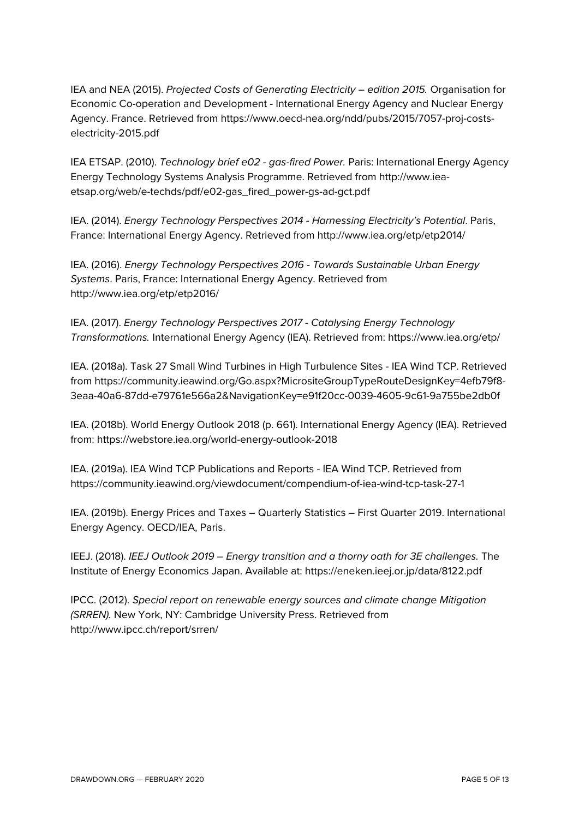IEA and NEA (2015). *Projected Costs of Generating Electricity – edition 2015.* Organisation for Economic Co-operation and Development - International Energy Agency and Nuclear Energy Agency. France. Retrieved from https://www.oecd-nea.org/ndd/pubs/2015/7057-proj-costselectricity-2015.pdf

IEA ETSAP. (2010). *Technology brief e02 - gas-fired Power.* Paris: International Energy Agency Energy Technology Systems Analysis Programme. Retrieved from http://www.ieaetsap.org/web/e-techds/pdf/e02-gas\_fired\_power-gs-ad-gct.pdf

IEA. (2014). *Energy Technology Perspectives 2014 - Harnessing Electricity's Potential*. Paris, France: International Energy Agency. Retrieved from http://www.iea.org/etp/etp2014/

IEA. (2016). *Energy Technology Perspectives 2016 - Towards Sustainable Urban Energy Systems*. Paris, France: International Energy Agency. Retrieved from http://www.iea.org/etp/etp2016/

IEA. (2017). *Energy Technology Perspectives 2017 - Catalysing Energy Technology Transformations.* International Energy Agency (IEA). Retrieved from: https://www.iea.org/etp/

IEA. (2018a). Task 27 Small Wind Turbines in High Turbulence Sites - IEA Wind TCP. Retrieved from https://community.ieawind.org/Go.aspx?MicrositeGroupTypeRouteDesignKey=4efb79f8- 3eaa-40a6-87dd-e79761e566a2&NavigationKey=e91f20cc-0039-4605-9c61-9a755be2db0f

IEA. (2018b). World Energy Outlook 2018 (p. 661). International Energy Agency (IEA). Retrieved from: https://webstore.iea.org/world-energy-outlook-2018

IEA. (2019a). IEA Wind TCP Publications and Reports - IEA Wind TCP. Retrieved from https://community.ieawind.org/viewdocument/compendium-of-iea-wind-tcp-task-27-1

IEA. (2019b). Energy Prices and Taxes – Quarterly Statistics – First Quarter 2019. International Energy Agency. OECD/IEA, Paris.

IEEJ. (2018). *IEEJ Outlook 2019 – Energy transition and a thorny oath for 3E challenges.* The Institute of Energy Economics Japan. Available at: https://eneken.ieej.or.jp/data/8122.pdf

IPCC. (2012). *Special report on renewable energy sources and climate change Mitigation (SRREN).* New York, NY: Cambridge University Press. Retrieved from http://www.ipcc.ch/report/srren/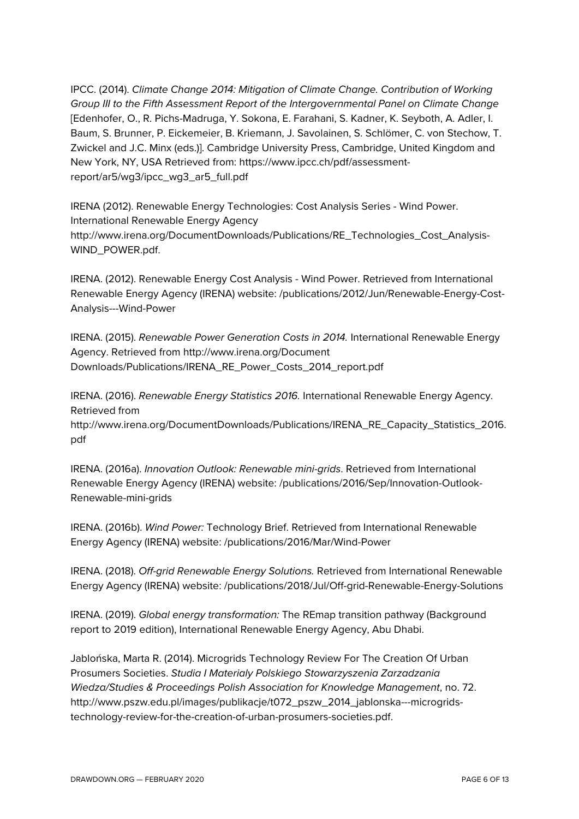IPCC. (2014). *Climate Change 2014: Mitigation of Climate Change. Contribution of Working Group III to the Fifth Assessment Report of the Intergovernmental Panel on Climate Change* [Edenhofer, O., R. Pichs-Madruga, Y. Sokona, E. Farahani, S. Kadner, K. Seyboth, A. Adler, I. Baum, S. Brunner, P. Eickemeier, B. Kriemann, J. Savolainen, S. Schlömer, C. von Stechow, T. Zwickel and J.C. Minx (eds.)]. Cambridge University Press, Cambridge, United Kingdom and New York, NY, USA Retrieved from: https://www.ipcc.ch/pdf/assessmentreport/ar5/wg3/ipcc\_wg3\_ar5\_full.pdf

IRENA (2012). Renewable Energy Technologies: Cost Analysis Series - Wind Power. International Renewable Energy Agency http://www.irena.org/DocumentDownloads/Publications/RE\_Technologies\_Cost\_Analysis-WIND\_POWER.pdf.

IRENA. (2012). Renewable Energy Cost Analysis - Wind Power. Retrieved from International Renewable Energy Agency (IRENA) website: /publications/2012/Jun/Renewable-Energy-Cost-Analysis---Wind-Power

IRENA. (2015). *Renewable Power Generation Costs in 2014.* International Renewable Energy Agency. Retrieved from http://www.irena.org/Document Downloads/Publications/IRENA\_RE\_Power\_Costs\_2014\_report.pdf

IRENA. (2016). *Renewable Energy Statistics 2016.* International Renewable Energy Agency. Retrieved from

http://www.irena.org/DocumentDownloads/Publications/IRENA\_RE\_Capacity\_Statistics\_2016. pdf

IRENA. (2016a). *Innovation Outlook: Renewable mini-grids*. Retrieved from International Renewable Energy Agency (IRENA) website: /publications/2016/Sep/Innovation-Outlook-Renewable-mini-grids

IRENA. (2016b). *Wind Power:* Technology Brief. Retrieved from International Renewable Energy Agency (IRENA) website: /publications/2016/Mar/Wind-Power

IRENA. (2018). *Off-grid Renewable Energy Solutions.* Retrieved from International Renewable Energy Agency (IRENA) website: /publications/2018/Jul/Off-grid-Renewable-Energy-Solutions

IRENA. (2019). *Global energy transformation:* The REmap transition pathway (Background report to 2019 edition), International Renewable Energy Agency, Abu Dhabi.

Jablońska, Marta R. (2014). Microgrids Technology Review For The Creation Of Urban Prosumers Societies. *Studia I Materialy Polskiego Stowarzyszenia Zarzadzania Wiedza/Studies & Proceedings Polish Association for Knowledge Management*, no. 72. http://www.pszw.edu.pl/images/publikacje/t072\_pszw\_2014\_jablonska---microgridstechnology-review-for-the-creation-of-urban-prosumers-societies.pdf.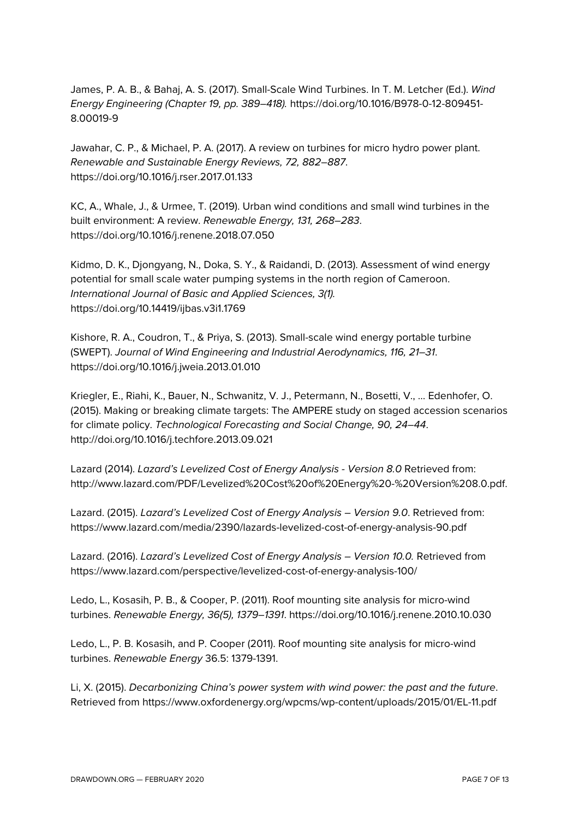James, P. A. B., & Bahaj, A. S. (2017). Small-Scale Wind Turbines. In T. M. Letcher (Ed.). *Wind Energy Engineering (Chapter 19, pp. 389–418).* https://doi.org/10.1016/B978-0-12-809451- 8.00019-9

Jawahar, C. P., & Michael, P. A. (2017). A review on turbines for micro hydro power plant. *Renewable and Sustainable Energy Reviews, 72, 882–887*. https://doi.org/10.1016/j.rser.2017.01.133

KC, A., Whale, J., & Urmee, T. (2019). Urban wind conditions and small wind turbines in the built environment: A review. *Renewable Energy, 131, 268–283*. https://doi.org/10.1016/j.renene.2018.07.050

Kidmo, D. K., Djongyang, N., Doka, S. Y., & Raidandi, D. (2013). Assessment of wind energy potential for small scale water pumping systems in the north region of Cameroon. *International Journal of Basic and Applied Sciences, 3(1).* https://doi.org/10.14419/ijbas.v3i1.1769

Kishore, R. A., Coudron, T., & Priya, S. (2013). Small-scale wind energy portable turbine (SWEPT). *Journal of Wind Engineering and Industrial Aerodynamics, 116, 21–31*. https://doi.org/10.1016/j.jweia.2013.01.010

Kriegler, E., Riahi, K., Bauer, N., Schwanitz, V. J., Petermann, N., Bosetti, V., … Edenhofer, O. (2015). Making or breaking climate targets: The AMPERE study on staged accession scenarios for climate policy. *Technological Forecasting and Social Change, 90, 24–44*. http://doi.org/10.1016/j.techfore.2013.09.021

Lazard (2014). *Lazard's Levelized Cost of Energy Analysis - Version 8.0* Retrieved from: http://www.lazard.com/PDF/Levelized%20Cost%20of%20Energy%20-%20Version%208.0.pdf.

Lazard. (2015). *Lazard's Levelized Cost of Energy Analysis – Version 9.0*. Retrieved from: https://www.lazard.com/media/2390/lazards-levelized-cost-of-energy-analysis-90.pdf

Lazard. (2016). *Lazard's Levelized Cost of Energy Analysis – Version 10.0.* Retrieved from https://www.lazard.com/perspective/levelized-cost-of-energy-analysis-100/

Ledo, L., Kosasih, P. B., & Cooper, P. (2011). Roof mounting site analysis for micro-wind turbines. *Renewable Energy, 36(5), 1379–1391*. https://doi.org/10.1016/j.renene.2010.10.030

Ledo, L., P. B. Kosasih, and P. Cooper (2011). Roof mounting site analysis for micro-wind turbines. *Renewable Energy* 36.5: 1379-1391.

Li, X. (2015). *Decarbonizing China's power system with wind power: the past and the future*. Retrieved from https://www.oxfordenergy.org/wpcms/wp-content/uploads/2015/01/EL-11.pdf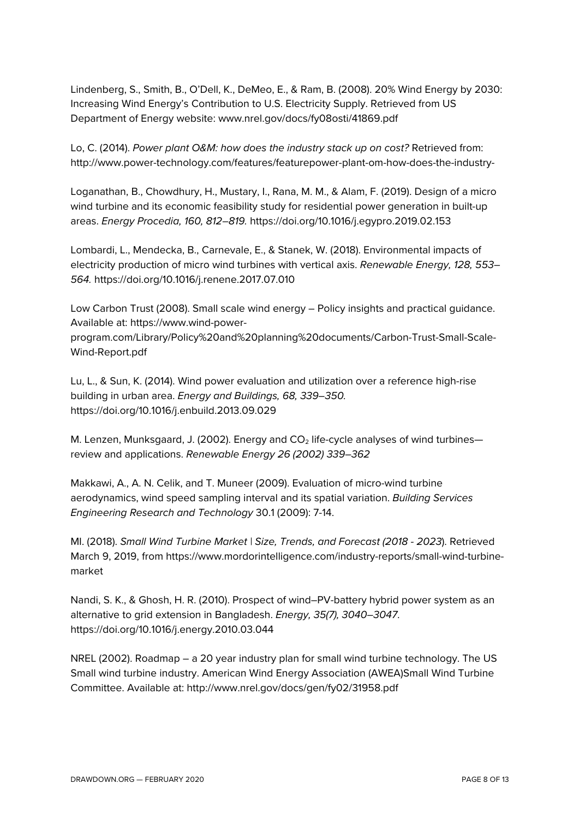Lindenberg, S., Smith, B., O'Dell, K., DeMeo, E., & Ram, B. (2008). 20% Wind Energy by 2030: Increasing Wind Energy's Contribution to U.S. Electricity Supply. Retrieved from US Department of Energy website: www.nrel.gov/docs/fy08osti/41869.pdf

Lo, C. (2014). *Power plant O&M: how does the industry stack up on cost?* Retrieved from: http://www.power-technology.com/features/featurepower-plant-om-how-does-the-industry-

Loganathan, B., Chowdhury, H., Mustary, I., Rana, M. M., & Alam, F. (2019). Design of a micro wind turbine and its economic feasibility study for residential power generation in built-up areas. *Energy Procedia, 160, 812–819.* https://doi.org/10.1016/j.egypro.2019.02.153

Lombardi, L., Mendecka, B., Carnevale, E., & Stanek, W. (2018). Environmental impacts of electricity production of micro wind turbines with vertical axis. *Renewable Energy, 128, 553– 564.* https://doi.org/10.1016/j.renene.2017.07.010

Low Carbon Trust (2008). Small scale wind energy – Policy insights and practical guidance. Available at: https://www.wind-power-

program.com/Library/Policy%20and%20planning%20documents/Carbon-Trust-Small-Scale-Wind-Report.pdf

Lu, L., & Sun, K. (2014). Wind power evaluation and utilization over a reference high-rise building in urban area. *Energy and Buildings, 68, 339–350.* https://doi.org/10.1016/j.enbuild.2013.09.029

M. Lenzen, Munksgaard, J. (2002). Energy and  $CO<sub>2</sub>$  life-cycle analyses of wind turbines review and applications. *Renewable Energy 26 (2002) 339–362*

Makkawi, A., A. N. Celik, and T. Muneer (2009). Evaluation of micro-wind turbine aerodynamics, wind speed sampling interval and its spatial variation. *Building Services Engineering Research and Technology* 30.1 (2009): 7-14.

MI. (2018). *Small Wind Turbine Market | Size, Trends, and Forecast (2018 - 2023*). Retrieved March 9, 2019, from https://www.mordorintelligence.com/industry-reports/small-wind-turbinemarket

Nandi, S. K., & Ghosh, H. R. (2010). Prospect of wind–PV-battery hybrid power system as an alternative to grid extension in Bangladesh. *Energy, 35(7), 3040–3047*. https://doi.org/10.1016/j.energy.2010.03.044

NREL (2002). Roadmap – a 20 year industry plan for small wind turbine technology. The US Small wind turbine industry. American Wind Energy Association (AWEA)Small Wind Turbine Committee. Available at: http://www.nrel.gov/docs/gen/fy02/31958.pdf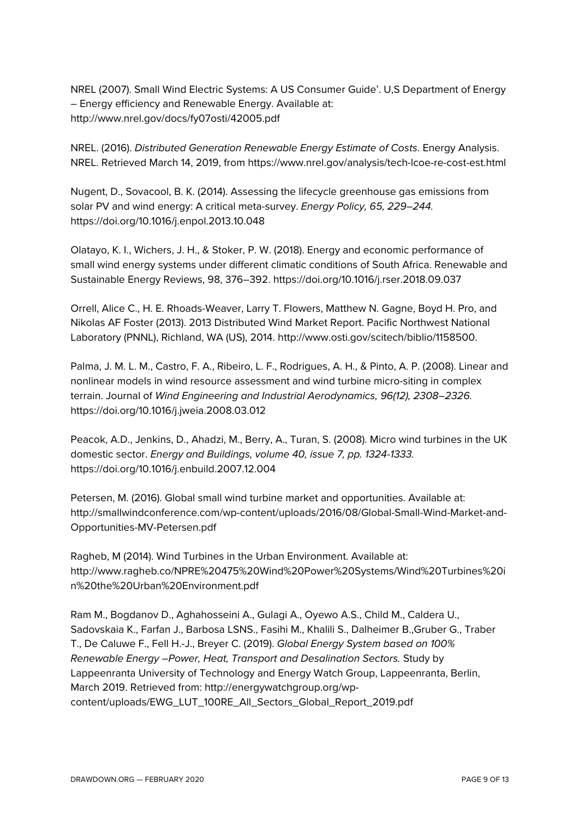NREL (2007). Small Wind Electric Systems: A US Consumer Guide'. U,S Department of Energy – Energy efficiency and Renewable Energy. Available at: http://www.nrel.gov/docs/fy07osti/42005.pdf

NREL. (2016). *Distributed Generation Renewable Energy Estimate of Costs*. Energy Analysis. NREL. Retrieved March 14, 2019, from https://www.nrel.gov/analysis/tech-lcoe-re-cost-est.html

Nugent, D., Sovacool, B. K. (2014). Assessing the lifecycle greenhouse gas emissions from solar PV and wind energy: A critical meta-survey. *Energy Policy, 65, 229–244.* https://doi.org/10.1016/j.enpol.2013.10.048

Olatayo, K. I., Wichers, J. H., & Stoker, P. W. (2018). Energy and economic performance of small wind energy systems under different climatic conditions of South Africa. Renewable and Sustainable Energy Reviews, 98, 376–392. https://doi.org/10.1016/j.rser.2018.09.037

Orrell, Alice C., H. E. Rhoads-Weaver, Larry T. Flowers, Matthew N. Gagne, Boyd H. Pro, and Nikolas AF Foster (2013). 2013 Distributed Wind Market Report. Pacific Northwest National Laboratory (PNNL), Richland, WA (US), 2014. http://www.osti.gov/scitech/biblio/1158500.

Palma, J. M. L. M., Castro, F. A., Ribeiro, L. F., Rodrigues, A. H., & Pinto, A. P. (2008). Linear and nonlinear models in wind resource assessment and wind turbine micro-siting in complex terrain. Journal of *Wind Engineering and Industrial Aerodynamics, 96(12), 2308–2326.*  https://doi.org/10.1016/j.jweia.2008.03.012

Peacok, A.D., Jenkins, D., Ahadzi, M., Berry, A., Turan, S. (2008). Micro wind turbines in the UK domestic sector. *Energy and Buildings, volume 40, issue 7, pp. 1324-1333.*  https://doi.org/10.1016/j.enbuild.2007.12.004

Petersen, M. (2016). Global small wind turbine market and opportunities. Available at: http://smallwindconference.com/wp-content/uploads/2016/08/Global-Small-Wind-Market-and-Opportunities-MV-Petersen.pdf

Ragheb, M (2014). Wind Turbines in the Urban Environment. Available at: http://www.ragheb.co/NPRE%20475%20Wind%20Power%20Systems/Wind%20Turbines%20i n%20the%20Urban%20Environment.pdf

Ram M., Bogdanov D., Aghahosseini A., Gulagi A., Oyewo A.S., Child M., Caldera U., Sadovskaia K., Farfan J., Barbosa LSNS., Fasihi M., Khalili S., Dalheimer B.,Gruber G., Traber T., De Caluwe F., Fell H.-J., Breyer C. (2019). *Global Energy System based on 100% Renewable Energy –Power, Heat, Transport and Desalination Sectors.* Study by Lappeenranta University of Technology and Energy Watch Group, Lappeenranta, Berlin, March 2019. Retrieved from: http://energywatchgroup.org/wpcontent/uploads/EWG\_LUT\_100RE\_All\_Sectors\_Global\_Report\_2019.pdf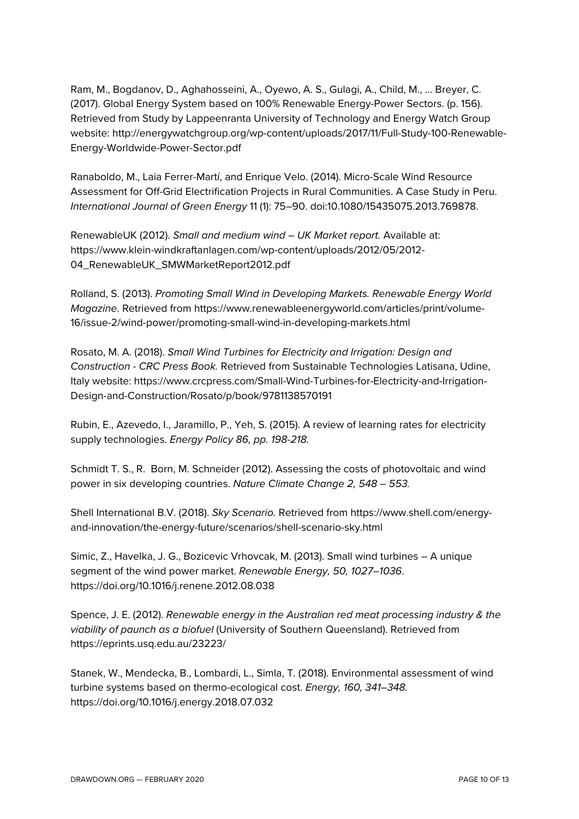Ram, M., Bogdanov, D., Aghahosseini, A., Oyewo, A. S., Gulagi, A., Child, M., … Breyer, C. (2017). Global Energy System based on 100% Renewable Energy-Power Sectors. (p. 156). Retrieved from Study by Lappeenranta University of Technology and Energy Watch Group website: http://energywatchgroup.org/wp-content/uploads/2017/11/Full-Study-100-Renewable-Energy-Worldwide-Power-Sector.pdf

Ranaboldo, M., Laia Ferrer-Martí, and Enrique Velo. (2014). Micro-Scale Wind Resource Assessment for Off-Grid Electrification Projects in Rural Communities. A Case Study in Peru. *International Journal of Green Energy* 11 (1): 75–90. doi:10.1080/15435075.2013.769878.

RenewableUK (2012). *Small and medium wind – UK Market report.* Available at: https://www.klein-windkraftanlagen.com/wp-content/uploads/2012/05/2012- 04\_RenewableUK\_SMWMarketReport2012.pdf

Rolland, S. (2013). *Promoting Small Wind in Developing Markets. Renewable Energy World Magazine*. Retrieved from https://www.renewableenergyworld.com/articles/print/volume-16/issue-2/wind-power/promoting-small-wind-in-developing-markets.html

Rosato, M. A. (2018). *Small Wind Turbines for Electricity and Irrigation: Design and Construction - CRC Press Book.* Retrieved from Sustainable Technologies Latisana, Udine, Italy website: https://www.crcpress.com/Small-Wind-Turbines-for-Electricity-and-Irrigation-Design-and-Construction/Rosato/p/book/9781138570191

Rubin, E., Azevedo, I., Jaramillo, P., Yeh, S. (2015). A review of learning rates for electricity supply technologies. *Energy Policy 86, pp. 198-218.*

Schmidt T. S., R. Born, M. Schneider (2012). Assessing the costs of photovoltaic and wind power in six developing countries. *Nature Climate Change 2, 548 – 553.*

Shell International B.V. (2018). *Sky Scenario.* Retrieved from https://www.shell.com/energyand-innovation/the-energy-future/scenarios/shell-scenario-sky.html

Simic, Z., Havelka, J. G., Bozicevic Vrhovcak, M. (2013). Small wind turbines – A unique segment of the wind power market. *Renewable Energy, 50, 1027–1036*. https://doi.org/10.1016/j.renene.2012.08.038

Spence, J. E. (2012). *Renewable energy in the Australian red meat processing industry & the viability of paunch as a biofuel* (University of Southern Queensland). Retrieved from https://eprints.usq.edu.au/23223/

Stanek, W., Mendecka, B., Lombardi, L., Simla, T. (2018). Environmental assessment of wind turbine systems based on thermo-ecological cost. *Energy, 160, 341–348.* https://doi.org/10.1016/j.energy.2018.07.032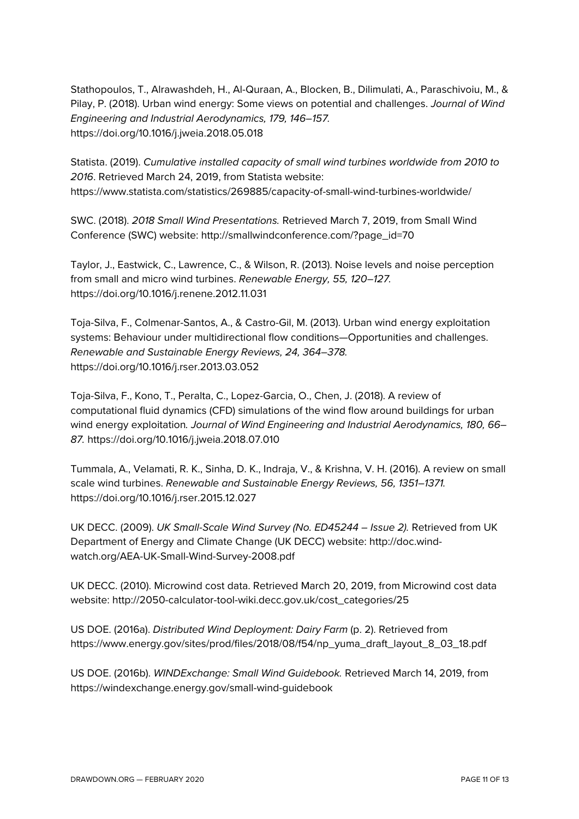Stathopoulos, T., Alrawashdeh, H., Al-Quraan, A., Blocken, B., Dilimulati, A., Paraschivoiu, M., & Pilay, P. (2018). Urban wind energy: Some views on potential and challenges. *Journal of Wind Engineering and Industrial Aerodynamics, 179, 146–157.* https://doi.org/10.1016/j.jweia.2018.05.018

Statista. (2019). *Cumulative installed capacity of small wind turbines worldwide from 2010 to 2016*. Retrieved March 24, 2019, from Statista website: https://www.statista.com/statistics/269885/capacity-of-small-wind-turbines-worldwide/

SWC. (2018). *2018 Small Wind Presentations.* Retrieved March 7, 2019, from Small Wind Conference (SWC) website: http://smallwindconference.com/?page\_id=70

Taylor, J., Eastwick, C., Lawrence, C., & Wilson, R. (2013). Noise levels and noise perception from small and micro wind turbines. *Renewable Energy, 55, 120–127.* https://doi.org/10.1016/j.renene.2012.11.031

Toja-Silva, F., Colmenar-Santos, A., & Castro-Gil, M. (2013). Urban wind energy exploitation systems: Behaviour under multidirectional flow conditions—Opportunities and challenges. *Renewable and Sustainable Energy Reviews, 24, 364–378.* https://doi.org/10.1016/j.rser.2013.03.052

Toja-Silva, F., Kono, T., Peralta, C., Lopez-Garcia, O., Chen, J. (2018). A review of computational fluid dynamics (CFD) simulations of the wind flow around buildings for urban wind energy exploitation*. Journal of Wind Engineering and Industrial Aerodynamics, 180, 66– 87.* https://doi.org/10.1016/j.jweia.2018.07.010

Tummala, A., Velamati, R. K., Sinha, D. K., Indraja, V., & Krishna, V. H. (2016). A review on small scale wind turbines. *Renewable and Sustainable Energy Reviews, 56, 1351–1371.* https://doi.org/10.1016/j.rser.2015.12.027

UK DECC. (2009). *UK Small-Scale Wind Survey (No. ED45244 – Issue 2).* Retrieved from UK Department of Energy and Climate Change (UK DECC) website: http://doc.windwatch.org/AEA-UK-Small-Wind-Survey-2008.pdf

UK DECC. (2010). Microwind cost data. Retrieved March 20, 2019, from Microwind cost data website: http://2050-calculator-tool-wiki.decc.gov.uk/cost\_categories/25

US DOE. (2016a). *Distributed Wind Deployment: Dairy Farm* (p. 2). Retrieved from https://www.energy.gov/sites/prod/files/2018/08/f54/np\_yuma\_draft\_layout\_8\_03\_18.pdf

US DOE. (2016b). *WINDExchange: Small Wind Guidebook.* Retrieved March 14, 2019, from https://windexchange.energy.gov/small-wind-guidebook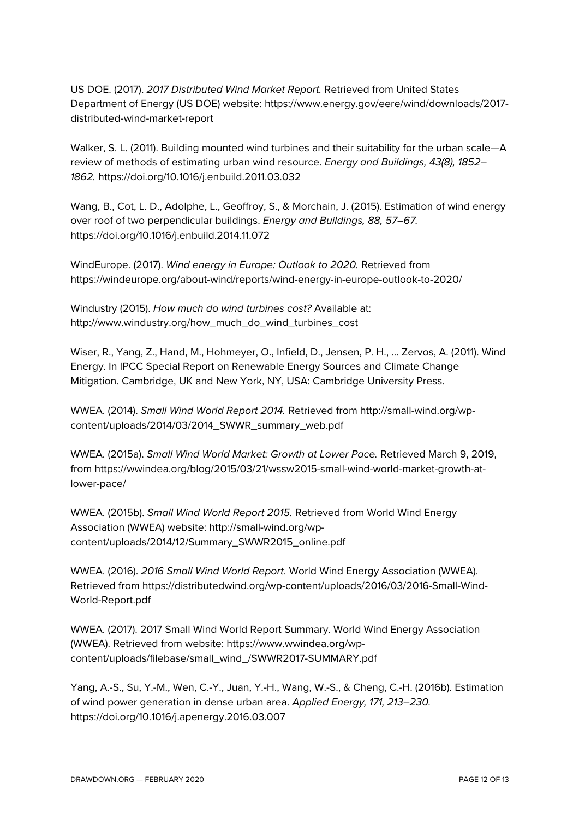US DOE. (2017). *2017 Distributed Wind Market Report.* Retrieved from United States Department of Energy (US DOE) website: https://www.energy.gov/eere/wind/downloads/2017 distributed-wind-market-report

Walker, S. L. (2011). Building mounted wind turbines and their suitability for the urban scale—A review of methods of estimating urban wind resource. *Energy and Buildings, 43(8), 1852– 1862.* https://doi.org/10.1016/j.enbuild.2011.03.032

Wang, B., Cot, L. D., Adolphe, L., Geoffroy, S., & Morchain, J. (2015). Estimation of wind energy over roof of two perpendicular buildings. *Energy and Buildings, 88, 57–67.* https://doi.org/10.1016/j.enbuild.2014.11.072

WindEurope. (2017). *Wind energy in Europe: Outlook to 2020.* Retrieved from https://windeurope.org/about-wind/reports/wind-energy-in-europe-outlook-to-2020/

Windustry (2015). *How much do wind turbines cost?* Available at: http://www.windustry.org/how\_much\_do\_wind\_turbines\_cost

Wiser, R., Yang, Z., Hand, M., Hohmeyer, O., Infield, D., Jensen, P. H., … Zervos, A. (2011). Wind Energy. In IPCC Special Report on Renewable Energy Sources and Climate Change Mitigation. Cambridge, UK and New York, NY, USA: Cambridge University Press.

WWEA. (2014). *Small Wind World Report 2014.* Retrieved from http://small-wind.org/wpcontent/uploads/2014/03/2014\_SWWR\_summary\_web.pdf

WWEA. (2015a). *Small Wind World Market: Growth at Lower Pace.* Retrieved March 9, 2019, from https://wwindea.org/blog/2015/03/21/wssw2015-small-wind-world-market-growth-atlower-pace/

WWEA. (2015b). *Small Wind World Report 2015.* Retrieved from World Wind Energy Association (WWEA) website: http://small-wind.org/wpcontent/uploads/2014/12/Summary\_SWWR2015\_online.pdf

WWEA. (2016). *2016 Small Wind World Report*. World Wind Energy Association (WWEA). Retrieved from https://distributedwind.org/wp-content/uploads/2016/03/2016-Small-Wind-World-Report.pdf

WWEA. (2017). 2017 Small Wind World Report Summary. World Wind Energy Association (WWEA). Retrieved from website: https://www.wwindea.org/wpcontent/uploads/filebase/small\_wind\_/SWWR2017-SUMMARY.pdf

Yang, A.-S., Su, Y.-M., Wen, C.-Y., Juan, Y.-H., Wang, W.-S., & Cheng, C.-H. (2016b). Estimation of wind power generation in dense urban area. *Applied Energy, 171, 213–230.* https://doi.org/10.1016/j.apenergy.2016.03.007